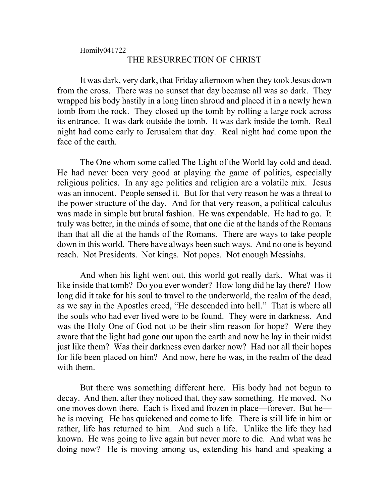## Homily041722 THE RESURRECTION OF CHRIST

It was dark, very dark, that Friday afternoon when they took Jesus down from the cross. There was no sunset that day because all was so dark. They wrapped his body hastily in a long linen shroud and placed it in a newly hewn tomb from the rock. They closed up the tomb by rolling a large rock across its entrance. It was dark outside the tomb. It was dark inside the tomb. Real night had come early to Jerusalem that day. Real night had come upon the face of the earth.

The One whom some called The Light of the World lay cold and dead. He had never been very good at playing the game of politics, especially religious politics. In any age politics and religion are a volatile mix. Jesus was an innocent. People sensed it. But for that very reason he was a threat to the power structure of the day. And for that very reason, a political calculus was made in simple but brutal fashion. He was expendable. He had to go. It truly was better, in the minds of some, that one die at the hands of the Romans than that all die at the hands of the Romans. There are ways to take people down in this world. There have always been such ways. And no one is beyond reach. Not Presidents. Not kings. Not popes. Not enough Messiahs.

And when his light went out, this world got really dark. What was it like inside that tomb? Do you ever wonder? How long did he lay there? How long did it take for his soul to travel to the underworld, the realm of the dead, as we say in the Apostles creed, "He descended into hell." That is where all the souls who had ever lived were to be found. They were in darkness. And was the Holy One of God not to be their slim reason for hope? Were they aware that the light had gone out upon the earth and now he lay in their midst just like them? Was their darkness even darker now? Had not all their hopes for life been placed on him? And now, here he was, in the realm of the dead with them.

But there was something different here. His body had not begun to decay. And then, after they noticed that, they saw something. He moved. No one moves down there. Each is fixed and frozen in place—forever. But he he is moving. He has quickened and come to life. There is still life in him or rather, life has returned to him. And such a life. Unlike the life they had known. He was going to live again but never more to die. And what was he doing now? He is moving among us, extending his hand and speaking a